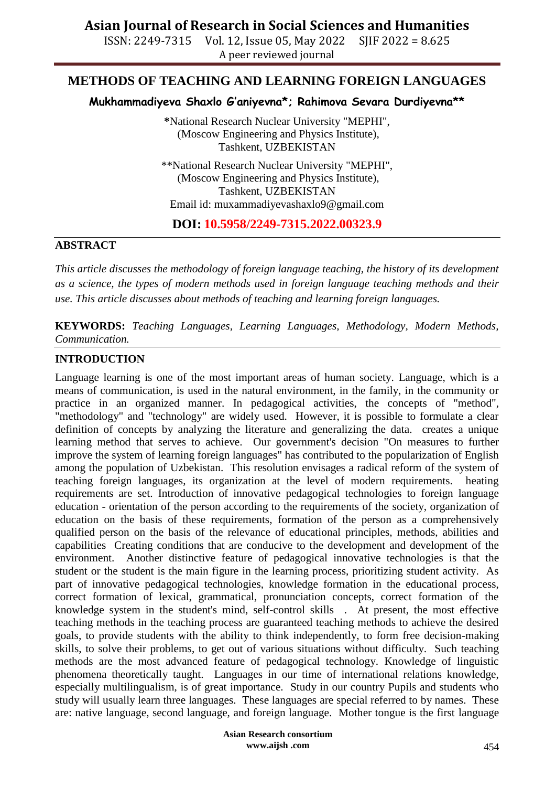## **Asian Journal of Research in Social Sciences and Humanities**

ISSN: 2249-7315 Vol. 12, Issue 05, May 2022 SJIF 2022 = 8.625 A peer reviewed journal

### **METHODS OF TEACHING AND LEARNING FOREIGN LANGUAGES**

**Mukhammadiyeva Shaxlo G'aniyevna\*; Rahimova Sevara Durdiyevna\*\***

**\***National Research Nuclear University "MEPHI", (Moscow Engineering and Physics Institute), Tashkent, UZBEKISTAN

\*\*National Research Nuclear University "MEPHI", (Moscow Engineering and Physics Institute), Tashkent, UZBEKISTAN Email id: [muxammadiyevashaxlo9@gmail.com](mailto:muxammadiyevashaxlo9@gmail.com)

**DOI: 10.5958/2249-7315.2022.00323.9**

#### **ABSTRACT**

*This article discusses the methodology of foreign language teaching, the history of its development as a science, the types of modern methods used in foreign language teaching methods and their use. This article discusses about methods of teaching and learning foreign languages.*

**KEYWORDS:** *Teaching Languages, Learning Languages, Methodology, Modern Methods, Communication.*

#### **INTRODUCTION**

Language learning is one of the most important areas of human society. Language, which is a means of communication, is used in the natural environment, in the family, in the community or practice in an organized manner. In pedagogical activities, the concepts of "method", "methodology" and "technology" are widely used. However, it is possible to formulate a clear definition of concepts by analyzing the literature and generalizing the data. creates a unique learning method that serves to achieve. Our government's decision "On measures to further improve the system of learning foreign languages" has contributed to the popularization of English among the population of Uzbekistan. This resolution envisages a radical reform of the system of teaching foreign languages, its organization at the level of modern requirements. heating requirements are set. Introduction of innovative pedagogical technologies to foreign language education - orientation of the person according to the requirements of the society, organization of education on the basis of these requirements, formation of the person as a comprehensively qualified person on the basis of the relevance of educational principles, methods, abilities and capabilities Creating conditions that are conducive to the development and development of the environment. Another distinctive feature of pedagogical innovative technologies is that the student or the student is the main figure in the learning process, prioritizing student activity. As part of innovative pedagogical technologies, knowledge formation in the educational process, correct formation of lexical, grammatical, pronunciation concepts, correct formation of the knowledge system in the student's mind, self-control skills . At present, the most effective teaching methods in the teaching process are guaranteed teaching methods to achieve the desired goals, to provide students with the ability to think independently, to form free decision-making skills, to solve their problems, to get out of various situations without difficulty. Such teaching methods are the most advanced feature of pedagogical technology. Knowledge of linguistic phenomena theoretically taught. Languages in our time of international relations knowledge, especially multilingualism, is of great importance. Study in our country Pupils and students who study will usually learn three languages. These languages are special referred to by names. These are: native language, second language, and foreign language. Mother tongue is the first language

> **Asian Research consortium www.aijsh .com**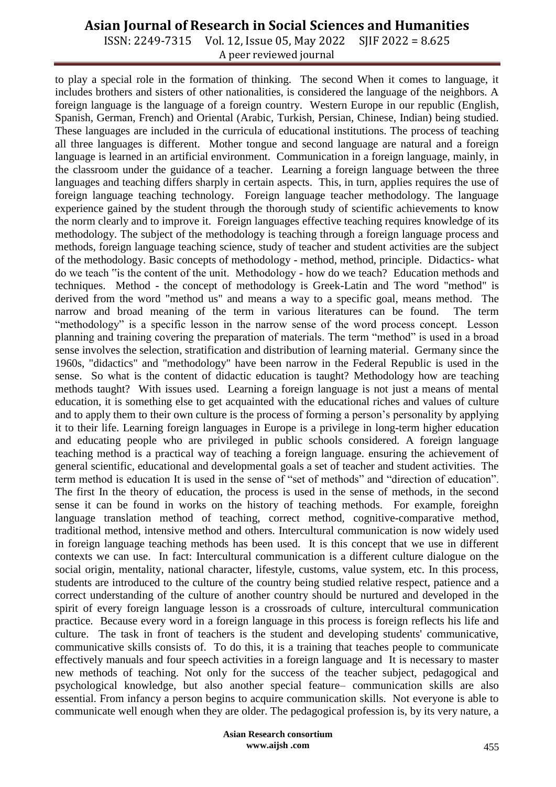## **Asian Journal of Research in Social Sciences and Humanities**

ISSN: 2249-7315 Vol. 12, Issue 05, May 2022 SJIF 2022 = 8.625 A peer reviewed journal

to play a special role in the formation of thinking. The second When it comes to language, it includes brothers and sisters of other nationalities, is considered the language of the neighbors. A foreign language is the language of a foreign country. Western Europe in our republic (English, Spanish, German, French) and Oriental (Arabic, Turkish, Persian, Chinese, Indian) being studied. These languages are included in the curricula of educational institutions. The process of teaching all three languages is different. Mother tongue and second language are natural and a foreign language is learned in an artificial environment. Communication in a foreign language, mainly, in the classroom under the guidance of a teacher. Learning a foreign language between the three languages and teaching differs sharply in certain aspects. This, in turn, applies requires the use of foreign language teaching technology. Foreign language teacher methodology. The language experience gained by the student through the thorough study of scientific achievements to know the norm clearly and to improve it. Foreign languages effective teaching requires knowledge of its methodology. The subject of the methodology is teaching through a foreign language process and methods, foreign language teaching science, study of teacher and student activities are the subject of the methodology. Basic concepts of methodology - method, method, principle. Didactics- what do we teach "is the content of the unit. Methodology - how do we teach? Education methods and techniques. Method - the concept of methodology is Greek-Latin and The word "method" is derived from the word "method us" and means a way to a specific goal, means method. The narrow and broad meaning of the term in various literatures can be found. The term "methodology" is a specific lesson in the narrow sense of the word process concept. Lesson planning and training covering the preparation of materials. The term "method" is used in a broad sense involves the selection, stratification and distribution of learning material. Germany since the 1960s, "didactics" and "methodology" have been narrow in the Federal Republic is used in the sense. So what is the content of didactic education is taught? Methodology how are teaching methods taught? With issues used. Learning a foreign language is not just a means of mental education, it is something else to get acquainted with the educational riches and values of culture and to apply them to their own culture is the process of forming a person's personality by applying it to their life. Learning foreign languages in Europe is a privilege in long-term higher education and educating people who are privileged in public schools considered. A foreign language teaching method is a practical way of teaching a foreign language. ensuring the achievement of general scientific, educational and developmental goals a set of teacher and student activities. The term method is education It is used in the sense of "set of methods" and "direction of education". The first In the theory of education, the process is used in the sense of methods, in the second sense it can be found in works on the history of teaching methods. For example, foreighn language translation method of teaching, correct method, cognitive-comparative method, traditional method, intensive method and others. Intercultural communication is now widely used in foreign language teaching methods has been used. It is this concept that we use in different contexts we can use. In fact: Intercultural communication is a different culture dialogue on the social origin, mentality, national character, lifestyle, customs, value system, etc. In this process, students are introduced to the culture of the country being studied relative respect, patience and a correct understanding of the culture of another country should be nurtured and developed in the spirit of every foreign language lesson is a crossroads of culture, intercultural communication practice. Because every word in a foreign language in this process is foreign reflects his life and culture. The task in front of teachers is the student and developing students' communicative, communicative skills consists of. To do this, it is a training that teaches people to communicate effectively manuals and four speech activities in a foreign language and It is necessary to master new methods of teaching. Not only for the success of the teacher subject, pedagogical and psychological knowledge, but also another special feature– communication skills are also essential. From infancy a person begins to acquire communication skills. Not everyone is able to communicate well enough when they are older. The pedagogical profession is, by its very nature, a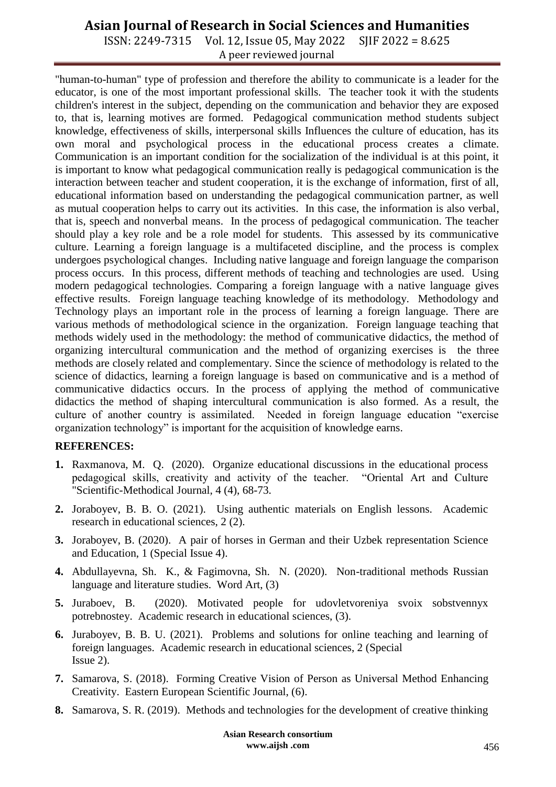## **Asian Journal of Research in Social Sciences and Humanities**

ISSN: 2249-7315 Vol. 12, Issue 05, May 2022 SJIF 2022 = 8.625 A peer reviewed journal

"human-to-human" type of profession and therefore the ability to communicate is a leader for the educator, is one of the most important professional skills. The teacher took it with the students children's interest in the subject, depending on the communication and behavior they are exposed to, that is, learning motives are formed. Pedagogical communication method students subject knowledge, effectiveness of skills, interpersonal skills Influences the culture of education, has its own moral and psychological process in the educational process creates a climate. Communication is an important condition for the socialization of the individual is at this point, it is important to know what pedagogical communication really is pedagogical communication is the interaction between teacher and student cooperation, it is the exchange of information, first of all, educational information based on understanding the pedagogical communication partner, as well as mutual cooperation helps to carry out its activities. In this case, the information is also verbal, that is, speech and nonverbal means. In the process of pedagogical communication. The teacher should play a key role and be a role model for students. This assessed by its communicative culture. Learning a foreign language is a multifaceted discipline, and the process is complex undergoes psychological changes. Including native language and foreign language the comparison process occurs. In this process, different methods of teaching and technologies are used. Using modern pedagogical technologies. Comparing a foreign language with a native language gives effective results. Foreign language teaching knowledge of its methodology. Methodology and Technology plays an important role in the process of learning a foreign language. There are various methods of methodological science in the organization. Foreign language teaching that methods widely used in the methodology: the method of communicative didactics, the method of organizing intercultural communication and the method of organizing exercises is the three methods are closely related and complementary. Since the science of methodology is related to the science of didactics, learning a foreign language is based on communicative and is a method of communicative didactics occurs. In the process of applying the method of communicative didactics the method of shaping intercultural communication is also formed. As a result, the culture of another country is assimilated. Needed in foreign language education "exercise organization technology" is important for the acquisition of knowledge earns.

#### **REFERENCES:**

- **1.** Raxmanova, M. Q. (2020). Organize educational discussions in the educational process pedagogical skills, creativity and activity of the teacher. "Oriental Art and Culture "Scientific-Methodical Journal, 4 (4), 68-73.
- **2.** Joraboyev, B. B. O. (2021). Using authentic materials on English lessons. Academic research in educational sciences, 2 (2).
- **3.** Joraboyev, B. (2020). A pair of horses in German and their Uzbek representation Science and Education, 1 (Special Issue 4).
- **4.** Abdullayevna, Sh. K., & Fagimovna, Sh. N. (2020). Non-traditional methods Russian language and literature studies. Word Art, (3)
- **5.** Juraboev, B. (2020). Motivated people for udovletvoreniya svoix sobstvennyx potrebnostey. Academic research in educational sciences, (3).
- **6.** Juraboyev, B. B. U. (2021). Problems and solutions for online teaching and learning of foreign languages. Academic research in educational sciences, 2 (Special Issue 2).
- **7.** Samarova, S. (2018). Forming Creative Vision of Person as Universal Method Enhancing Creativity. Eastern European Scientific Journal, (6).
- **8.** Samarova, S. R. (2019). Methods and technologies for the development of creative thinking